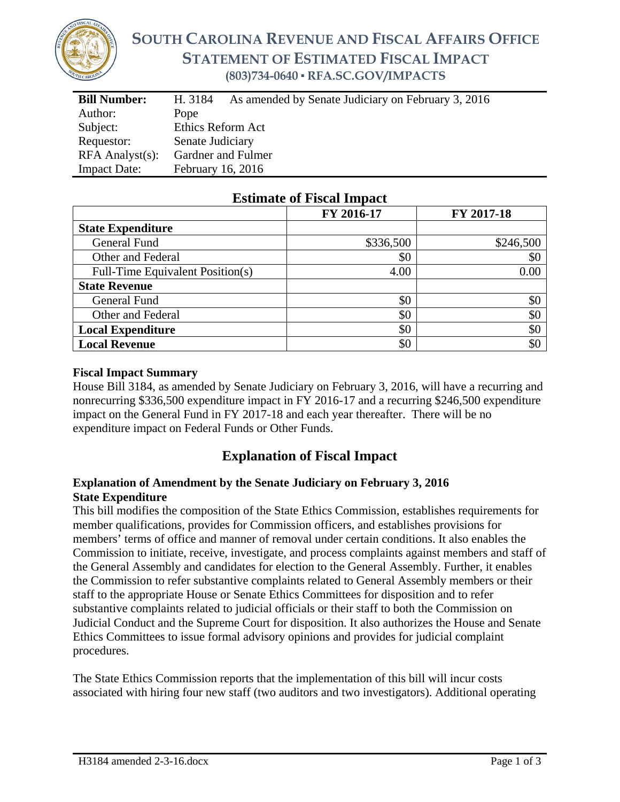

# **SOUTH CAROLINA REVENUE AND FISCAL AFFAIRS OFFICE STATEMENT OF ESTIMATED FISCAL IMPACT (803)734-0640 ▪ RFA.SC.GOV/IMPACTS**

| <b>Bill Number:</b>   | As amended by Senate Judiciary on February 3, 2016<br>H. 3184 |  |  |
|-----------------------|---------------------------------------------------------------|--|--|
| Author:               | Pope                                                          |  |  |
| Subject:              | Ethics Reform Act                                             |  |  |
| Requestor:            | Senate Judiciary                                              |  |  |
| $RFA$ Analyst $(s)$ : | Gardner and Fulmer                                            |  |  |
| <b>Impact Date:</b>   | February 16, 2016                                             |  |  |

### **Estimate of Fiscal Impact**

|                                  | FY 2016-17 | FY 2017-18 |
|----------------------------------|------------|------------|
| <b>State Expenditure</b>         |            |            |
| General Fund                     | \$336,500  | \$246,500  |
| Other and Federal                | \$0        | \$0        |
| Full-Time Equivalent Position(s) | 4.00       | 0.00       |
| <b>State Revenue</b>             |            |            |
| General Fund                     | \$0        | \$0        |
| Other and Federal                | \$0        | \$0        |
| <b>Local Expenditure</b>         | \$0        | \$0        |
| <b>Local Revenue</b>             | \$0        | \$0        |

### **Fiscal Impact Summary**

House Bill 3184, as amended by Senate Judiciary on February 3, 2016, will have a recurring and nonrecurring \$336,500 expenditure impact in FY 2016-17 and a recurring \$246,500 expenditure impact on the General Fund in FY 2017-18 and each year thereafter. There will be no expenditure impact on Federal Funds or Other Funds.

## **Explanation of Fiscal Impact**

### **Explanation of Amendment by the Senate Judiciary on February 3, 2016 State Expenditure**

This bill modifies the composition of the State Ethics Commission, establishes requirements for member qualifications, provides for Commission officers, and establishes provisions for members' terms of office and manner of removal under certain conditions. It also enables the Commission to initiate, receive, investigate, and process complaints against members and staff of the General Assembly and candidates for election to the General Assembly. Further, it enables the Commission to refer substantive complaints related to General Assembly members or their staff to the appropriate House or Senate Ethics Committees for disposition and to refer substantive complaints related to judicial officials or their staff to both the Commission on Judicial Conduct and the Supreme Court for disposition. It also authorizes the House and Senate Ethics Committees to issue formal advisory opinions and provides for judicial complaint procedures.

The State Ethics Commission reports that the implementation of this bill will incur costs associated with hiring four new staff (two auditors and two investigators). Additional operating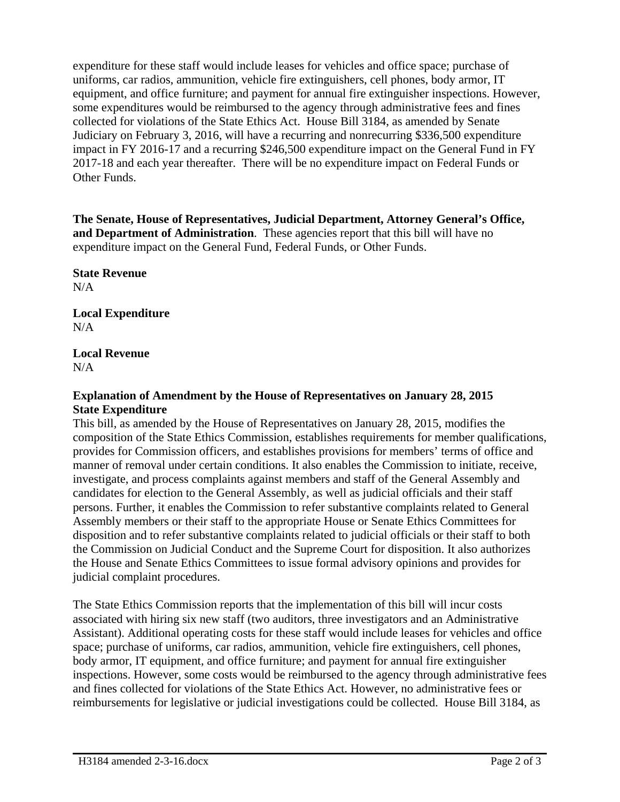expenditure for these staff would include leases for vehicles and office space; purchase of uniforms, car radios, ammunition, vehicle fire extinguishers, cell phones, body armor, IT equipment, and office furniture; and payment for annual fire extinguisher inspections. However, some expenditures would be reimbursed to the agency through administrative fees and fines collected for violations of the State Ethics Act. House Bill 3184, as amended by Senate Judiciary on February 3, 2016, will have a recurring and nonrecurring \$336,500 expenditure impact in FY 2016-17 and a recurring \$246,500 expenditure impact on the General Fund in FY 2017-18 and each year thereafter. There will be no expenditure impact on Federal Funds or Other Funds.

**The Senate, House of Representatives, Judicial Department, Attorney General's Office, and Department of Administration**. These agencies report that this bill will have no expenditure impact on the General Fund, Federal Funds, or Other Funds.

**State Revenue**   $N/A$ 

**Local Expenditure**   $N/A$ 

**Local Revenue**   $N/A$ 

#### **Explanation of Amendment by the House of Representatives on January 28, 2015 State Expenditure**

This bill, as amended by the House of Representatives on January 28, 2015, modifies the composition of the State Ethics Commission, establishes requirements for member qualifications, provides for Commission officers, and establishes provisions for members' terms of office and manner of removal under certain conditions. It also enables the Commission to initiate, receive, investigate, and process complaints against members and staff of the General Assembly and candidates for election to the General Assembly, as well as judicial officials and their staff persons. Further, it enables the Commission to refer substantive complaints related to General Assembly members or their staff to the appropriate House or Senate Ethics Committees for disposition and to refer substantive complaints related to judicial officials or their staff to both the Commission on Judicial Conduct and the Supreme Court for disposition. It also authorizes the House and Senate Ethics Committees to issue formal advisory opinions and provides for judicial complaint procedures.

The State Ethics Commission reports that the implementation of this bill will incur costs associated with hiring six new staff (two auditors, three investigators and an Administrative Assistant). Additional operating costs for these staff would include leases for vehicles and office space; purchase of uniforms, car radios, ammunition, vehicle fire extinguishers, cell phones, body armor, IT equipment, and office furniture; and payment for annual fire extinguisher inspections. However, some costs would be reimbursed to the agency through administrative fees and fines collected for violations of the State Ethics Act. However, no administrative fees or reimbursements for legislative or judicial investigations could be collected. House Bill 3184, as